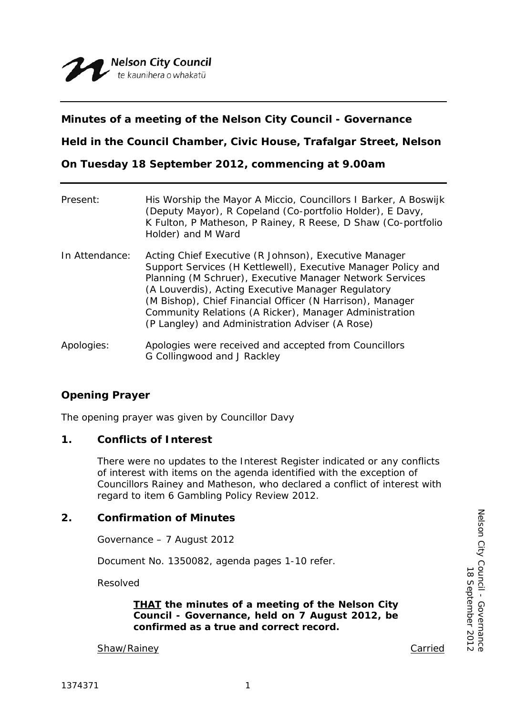# **Minutes of a meeting of the Nelson City Council - Governance**

**Held in the Council Chamber, Civic House, Trafalgar Street, Nelson**

**On Tuesday 18 September 2012, commencing at 9.00am**

| Present:       | His Worship the Mayor A Miccio, Councillors I Barker, A Boswijk<br>(Deputy Mayor), R Copeland (Co-portfolio Holder), E Davy,<br>K Fulton, P Matheson, P Rainey, R Reese, D Shaw (Co-portfolio<br>Holder) and M Ward                                                                                                                                                                                                |
|----------------|--------------------------------------------------------------------------------------------------------------------------------------------------------------------------------------------------------------------------------------------------------------------------------------------------------------------------------------------------------------------------------------------------------------------|
| In Attendance: | Acting Chief Executive (R Johnson), Executive Manager<br>Support Services (H Kettlewell), Executive Manager Policy and<br>Planning (M Schruer), Executive Manager Network Services<br>(A Louverdis), Acting Executive Manager Regulatory<br>(M Bishop), Chief Financial Officer (N Harrison), Manager<br>Community Relations (A Ricker), Manager Administration<br>(P Langley) and Administration Adviser (A Rose) |
| Apologies:     | Apologies were received and accepted from Councillors<br>G Collingwood and J Rackley                                                                                                                                                                                                                                                                                                                               |

# **Opening Prayer**

The opening prayer was given by Councillor Davy

## **1. Conflicts of Interest**

There were no updates to the Interest Register indicated or any conflicts of interest with items on the agenda identified with the exception of Councillors Rainey and Matheson, who declared a conflict of interest with regard to item 6 Gambling Policy Review 2012.

## **2. Confirmation of Minutes**

Governance – 7 August 2012

Document No. 1350082, agenda pages 1-10 refer.

Resolved

*THAT the minutes of a meeting of the Nelson City Council - Governance, held on 7 August 2012, be confirmed as a true and correct record.*

Shaw/Rainey **Carried** Carried Carried Carried Carried Carried Carried Carried Carried Carried Carried Carried Carried Carried Carried Carried Carried Carried Carried Carried Carried Carried Carried Carried Carried Carried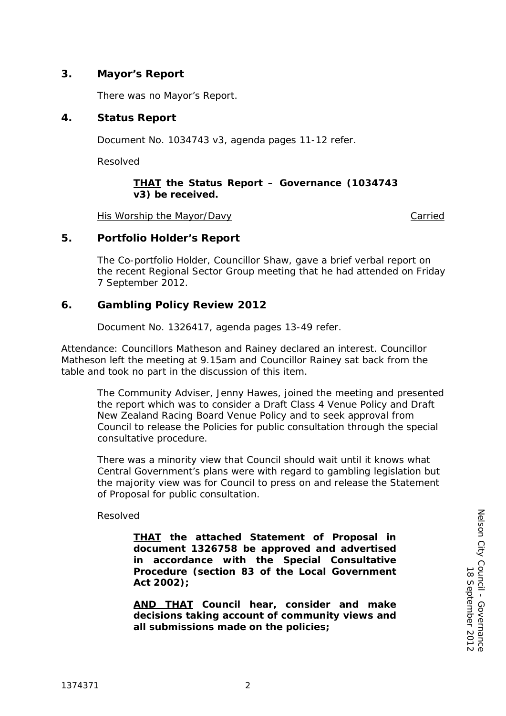# **3. Mayor's Report**

There was no Mayor's Report.

# **4. Status Report**

Document No. 1034743 v3, agenda pages 11-12 refer.

Resolved

### *THAT the Status Report – Governance (1034743 v3) be received.*

His Worship the Mayor/Davy Carried

## **5. Portfolio Holder's Report**

The Co-portfolio Holder, Councillor Shaw, gave a brief verbal report on the recent Regional Sector Group meeting that he had attended on Friday 7 September 2012.

# **6. Gambling Policy Review 2012**

Document No. 1326417, agenda pages 13-49 refer.

Attendance: Councillors Matheson and Rainey declared an interest. Councillor Matheson left the meeting at 9.15am and Councillor Rainey sat back from the table and took no part in the discussion of this item.

The Community Adviser, Jenny Hawes, joined the meeting and presented the report which was to consider a Draft Class 4 Venue Policy and Draft New Zealand Racing Board Venue Policy and to seek approval from Council to release the Policies for public consultation through the special consultative procedure.

There was a minority view that Council should wait until it knows what Central Government's plans were with regard to gambling legislation but the majority view was for Council to press on and release the Statement of Proposal for public consultation.

## Resolved

*THAT the attached Statement of Proposal in document 1326758 be approved and advertised in accordance with the Special Consultative Procedure (section 83 of the Local Government Act 2002);*

*AND THAT Council hear, consider and make decisions taking account of community views and all submissions made on the policies;*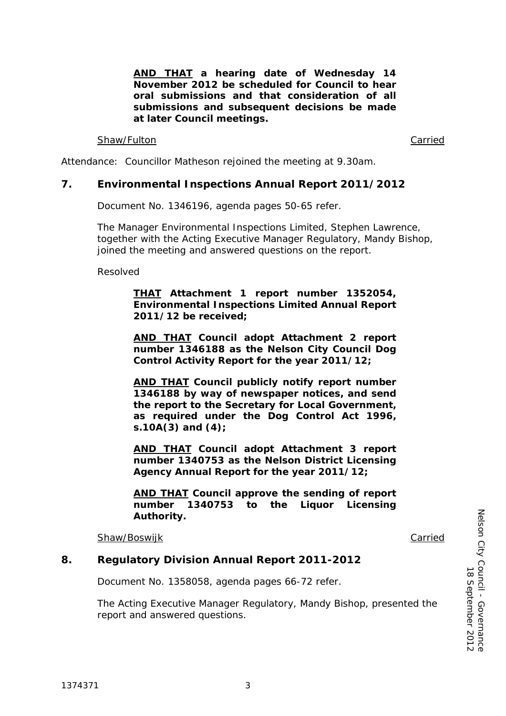*AND THAT a hearing date of Wednesday 14 November 2012 be scheduled for Council to hear oral submissions and that consideration of all submissions and subsequent decisions be made at later Council meetings.* Shaw/Fulton **Carried** Carried Carried Carried Carried Carried Carried Carried Carried Carried Carried Carried Carried Carried Carried Carried Carried Carried Carried Carried Carried Carried Carried Carried Carried Carried

Attendance: Councillor Matheson rejoined the meeting at 9.30am.

## **7. Environmental Inspections Annual Report 2011/2012**

Document No. 1346196, agenda pages 50-65 refer.

The Manager Environmental Inspections Limited, Stephen Lawrence, together with the Acting Executive Manager Regulatory, Mandy Bishop, joined the meeting and answered questions on the report.

Resolved

*THAT Attachment 1 report number 1352054, Environmental Inspections Limited Annual Report 2011/12 be received;*

*AND THAT Council adopt Attachment 2 report number 1346188 as the Nelson City Council Dog Control Activity Report for the year 2011/12;*

*AND THAT Council publicly notify report number 1346188 by way of newspaper notices, and send the report to the Secretary for Local Government, as required under the Dog Control Act 1996, s.10A(3) and (4);*

*AND THAT Council adopt Attachment 3 report number 1340753 as the Nelson District Licensing Agency Annual Report for the year 2011/12;*

*AND THAT Council approve the sending of report number 1340753 to the Liquor Licensing Authority.*

Shaw/Boswijk Carried

## **8. Regulatory Division Annual Report 2011-2012**

Document No. 1358058, agenda pages 66-72 refer.

The Acting Executive Manager Regulatory, Mandy Bishop, presented the report and answered questions.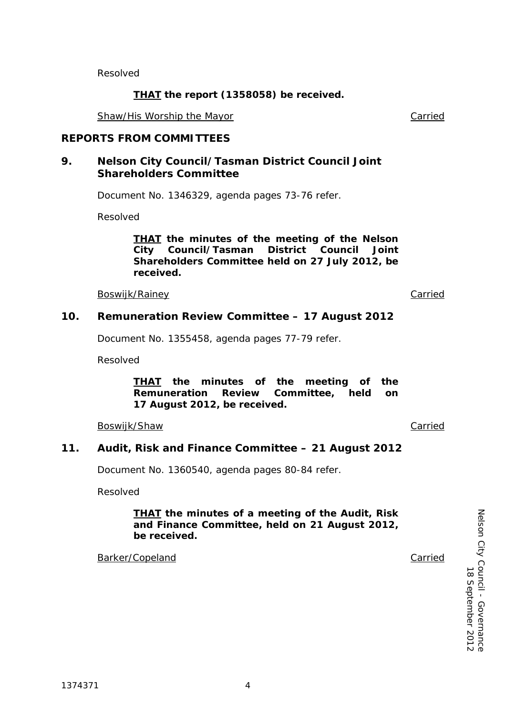Resolved

# *THAT the report (1358058) be received.*

Shaw/His Worship the Mayor **Carried** Carried

# **REPORTS FROM COMMITTEES**

# **9. Nelson City Council/Tasman District Council Joint Shareholders Committee**

Document No. 1346329, agenda pages 73-76 refer.

Resolved

### *THAT the minutes of the meeting of the Nelson City Council/Tasman District Council Joint Shareholders Committee held on 27 July 2012, be received.*

Boswijk/Rainey **Carried** 

# **10. Remuneration Review Committee – 17 August 2012**

Document No. 1355458, agenda pages 77-79 refer.

Resolved

*THAT the minutes of the meeting of the Remuneration Review Committee, held on 17 August 2012, be received.*

Boswijk/Shaw Carried

# **11. Audit, Risk and Finance Committee – 21 August 2012**

Document No. 1360540, agenda pages 80-84 refer.

Resolved

## *THAT the minutes of a meeting of the Audit, Risk and Finance Committee, held on 21 August 2012, be received.*

Barker/Copeland Carried

Nelson City Council - Governance<br>18 September 2012 Nelson City Council - 18 September 2012 Governance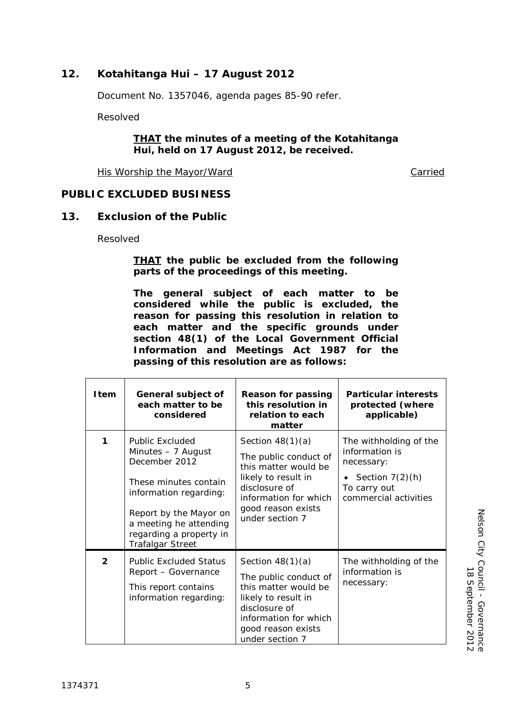# **12. Kotahitanga Hui – 17 August 2012**

Document No. 1357046, agenda pages 85-90 refer.

Resolved

### *THAT the minutes of a meeting of the Kotahitanga Hui, held on 17 August 2012, be received.*

His Worship the Mayor/Ward Carried Carried

# **PUBLIC EXCLUDED BUSINESS**

## **13. Exclusion of the Public**

Resolved

### *THAT the public be excluded from the following parts of the proceedings of this meeting.*

*The general subject of each matter to be considered while the public is excluded, the reason for passing this resolution in relation to each matter and the specific grounds under section 48(1) of the Local Government Official Information and Meetings Act 1987 for the passing of this resolution are as follows:*

| <b>Item</b>    | General subject of<br>each matter to be<br>considered                                                                                                                                                                      | <b>Reason for passing</b><br>this resolution in<br>relation to each<br>matter                                                                                                 | <b>Particular interests</b><br>protected (where<br>applicable)                                                       |
|----------------|----------------------------------------------------------------------------------------------------------------------------------------------------------------------------------------------------------------------------|-------------------------------------------------------------------------------------------------------------------------------------------------------------------------------|----------------------------------------------------------------------------------------------------------------------|
| 1              | <b>Public Excluded</b><br>Minutes - 7 August<br>December 2012<br>These minutes contain<br>information regarding:<br>Report by the Mayor on<br>a meeting he attending<br>regarding a property in<br><b>Trafalgar Street</b> | Section $48(1)(a)$<br>The public conduct of<br>this matter would be<br>likely to result in<br>disclosure of<br>information for which<br>good reason exists<br>under section 7 | The withholding of the<br>information is<br>necessary:<br>Section $7(2)(h)$<br>To carry out<br>commercial activities |
| $\overline{2}$ | <b>Public Excluded Status</b><br>Report - Governance<br>This report contains<br>information regarding:                                                                                                                     | Section $48(1)(a)$<br>The public conduct of<br>this matter would be<br>likely to result in<br>disclosure of<br>information for which<br>good reason exists<br>under section 7 | The withholding of the<br>information is<br>necessary:                                                               |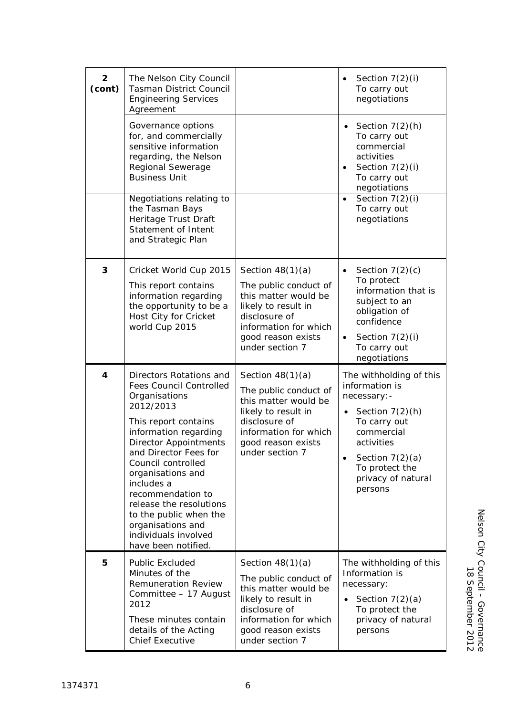| $\mathbf{2}$<br>(cont) | The Nelson City Council<br><b>Tasman District Council</b><br><b>Engineering Services</b><br>Agreement                                                                                                                                                                                                                                                                                                    |                                                                                                                                                                               | Section 7(2)(i)<br>$\bullet$<br>To carry out<br>negotiations                                                                                                                                                    |
|------------------------|----------------------------------------------------------------------------------------------------------------------------------------------------------------------------------------------------------------------------------------------------------------------------------------------------------------------------------------------------------------------------------------------------------|-------------------------------------------------------------------------------------------------------------------------------------------------------------------------------|-----------------------------------------------------------------------------------------------------------------------------------------------------------------------------------------------------------------|
|                        | Governance options<br>for, and commercially<br>sensitive information<br>regarding, the Nelson<br>Regional Sewerage<br><b>Business Unit</b>                                                                                                                                                                                                                                                               |                                                                                                                                                                               | Section $7(2)(h)$<br>To carry out<br>commercial<br>activities<br>Section $7(2)(i)$<br>$\bullet$<br>To carry out<br>negotiations                                                                                 |
|                        | Negotiations relating to<br>the Tasman Bays<br>Heritage Trust Draft<br>Statement of Intent<br>and Strategic Plan                                                                                                                                                                                                                                                                                         |                                                                                                                                                                               | Section $7(2)(i)$<br>$\bullet$<br>To carry out<br>negotiations                                                                                                                                                  |
| 3                      | Cricket World Cup 2015<br>This report contains<br>information regarding<br>the opportunity to be a<br>Host City for Cricket<br>world Cup 2015                                                                                                                                                                                                                                                            | Section $48(1)(a)$<br>The public conduct of<br>this matter would be<br>likely to result in<br>disclosure of<br>information for which<br>good reason exists<br>under section 7 | Section $7(2)(c)$<br>$\bullet$<br>To protect<br>information that is<br>subject to an<br>obligation of<br>confidence<br>Section $7(2)(i)$<br>$\bullet$<br>To carry out<br>negotiations                           |
| 4                      | Directors Rotations and<br><b>Fees Council Controlled</b><br>Organisations<br>2012/2013<br>This report contains<br>information regarding<br><b>Director Appointments</b><br>and Director Fees for<br>Council controlled<br>organisations and<br>includes a<br>recommendation to<br>release the resolutions<br>to the public when the<br>organisations and<br>individuals involved<br>have been notified. | Section $48(1)(a)$<br>The public conduct of<br>this matter would be<br>likely to result in<br>disclosure of<br>information for which<br>good reason exists<br>under section 7 | The withholding of this<br>information is<br>necessary: -<br>Section $7(2)(h)$<br>To carry out<br>commercial<br>activities<br>Section $7(2)(a)$<br>$\bullet$<br>To protect the<br>privacy of natural<br>persons |
| 5                      | <b>Public Excluded</b><br>Minutes of the<br><b>Remuneration Review</b><br>Committee - 17 August<br>2012<br>These minutes contain<br>details of the Acting<br><b>Chief Executive</b>                                                                                                                                                                                                                      | Section $48(1)(a)$<br>The public conduct of<br>this matter would be<br>likely to result in<br>disclosure of<br>information for which<br>good reason exists<br>under section 7 | The withholding of this<br>Information is<br>necessary:<br>Section $7(2)(a)$<br>To protect the<br>privacy of natural<br>persons                                                                                 |